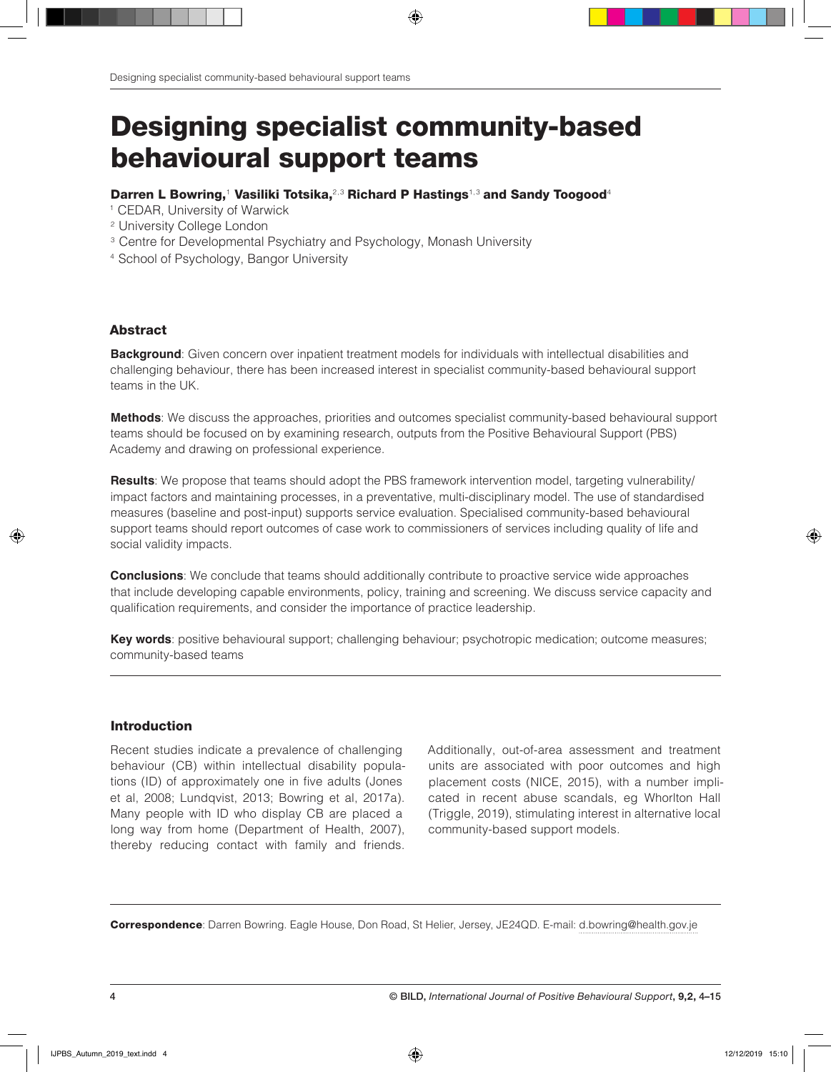# Designing specialist community-based behavioural support teams

#### Darren L Bowring,<sup>1</sup> Vasiliki Totsika,<sup>2,3</sup> Richard P Hastings<sup>1,3</sup> and Sandy Toogood<sup>4</sup>

- <sup>1</sup> CEDAR, University of Warwick
- 2 University College London
- <sup>3</sup> Centre for Developmental Psychiatry and Psychology, Monash University
- 4 School of Psychology, Bangor University

## Abstract

**Background**: Given concern over inpatient treatment models for individuals with intellectual disabilities and challenging behaviour, there has been increased interest in specialist community-based behavioural support teams in the UK.

**Methods**: We discuss the approaches, priorities and outcomes specialist community-based behavioural support teams should be focused on by examining research, outputs from the Positive Behavioural Support (PBS) Academy and drawing on professional experience.

**Results**: We propose that teams should adopt the PBS framework intervention model, targeting vulnerability/ impact factors and maintaining processes, in a preventative, multi-disciplinary model. The use of standardised measures (baseline and post-input) supports service evaluation. Specialised community-based behavioural support teams should report outcomes of case work to commissioners of services including quality of life and social validity impacts.

**Conclusions**: We conclude that teams should additionally contribute to proactive service wide approaches that include developing capable environments, policy, training and screening. We discuss service capacity and qualification requirements, and consider the importance of practice leadership.

**Key words**: positive behavioural support; challenging behaviour; psychotropic medication; outcome measures; community-based teams

## Introduction

Recent studies indicate a prevalence of challenging behaviour (CB) within intellectual disability populations (ID) of approximately one in five adults (Jones et al, 2008; Lundqvist, 2013; Bowring et al, 2017a). Many people with ID who display CB are placed a long way from home (Department of Health, 2007), thereby reducing contact with family and friends. Additionally, out-of-area assessment and treatment units are associated with poor outcomes and high placement costs (NICE, 2015), with a number implicated in recent abuse scandals, eg Whorlton Hall (Triggle, 2019), stimulating interest in alternative local community-based support models.

Correspondence: Darren Bowring. Eagle House, Don Road, St Helier, Jersey, JE24QD. E-mail: d.bowring@health.gov.je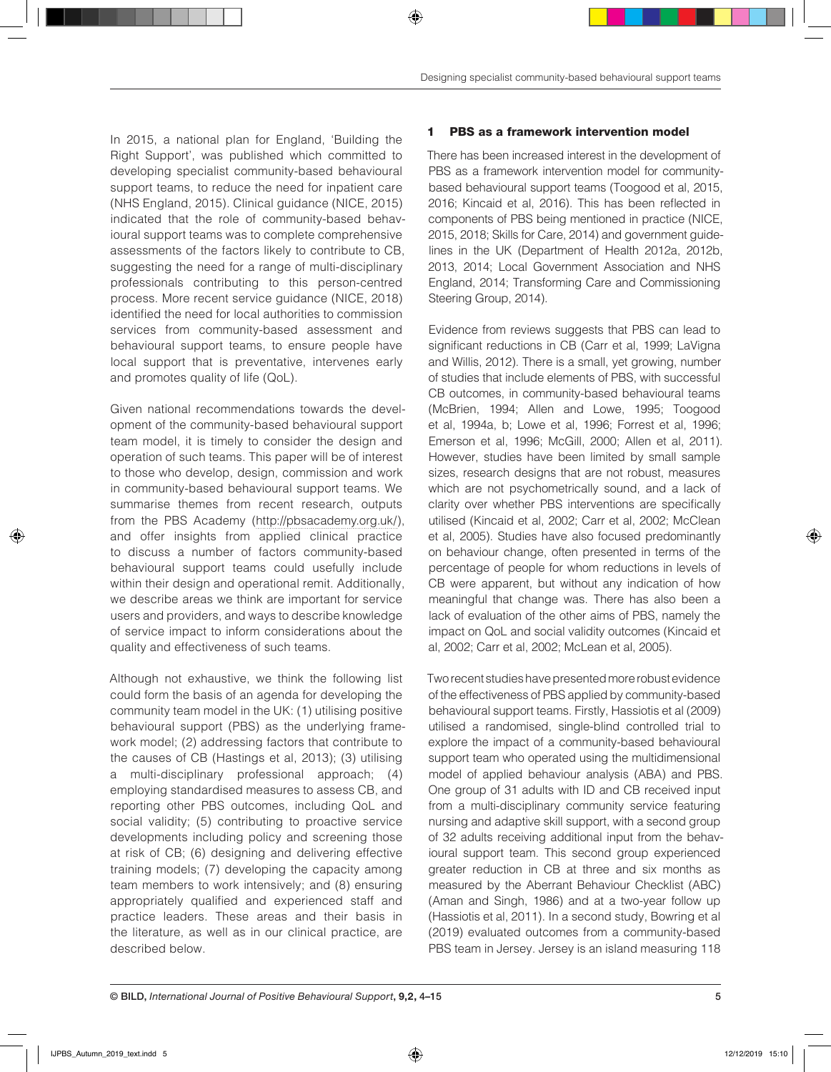In 2015, a national plan for England, 'Building the Right Support', was published which committed to developing specialist community-based behavioural support teams, to reduce the need for inpatient care (NHS England, 2015). Clinical guidance (NICE, 2015) indicated that the role of community-based behavioural support teams was to complete comprehensive assessments of the factors likely to contribute to CB, suggesting the need for a range of multi-disciplinary professionals contributing to this person-centred process. More recent service guidance (NICE, 2018) identified the need for local authorities to commission services from community-based assessment and behavioural support teams, to ensure people have local support that is preventative, intervenes early and promotes quality of life (QoL).

Given national recommendations towards the development of the community-based behavioural support team model, it is timely to consider the design and operation of such teams. This paper will be of interest to those who develop, design, commission and work in community-based behavioural support teams. We summarise themes from recent research, outputs from the PBS Academy (http://pbsacademy.org.uk/), and offer insights from applied clinical practice to discuss a number of factors community-based behavioural support teams could usefully include within their design and operational remit. Additionally, we describe areas we think are important for service users and providers, and ways to describe knowledge of service impact to inform considerations about the quality and effectiveness of such teams.

Although not exhaustive, we think the following list could form the basis of an agenda for developing the community team model in the UK: (1) utilising positive behavioural support (PBS) as the underlying framework model; (2) addressing factors that contribute to the causes of CB (Hastings et al, 2013); (3) utilising a multi-disciplinary professional approach; (4) employing standardised measures to assess CB, and reporting other PBS outcomes, including QoL and social validity; (5) contributing to proactive service developments including policy and screening those at risk of CB; (6) designing and delivering effective training models; (7) developing the capacity among team members to work intensively; and (8) ensuring appropriately qualified and experienced staff and practice leaders. These areas and their basis in the literature, as well as in our clinical practice, are described below.

## 1 PBS as a framework intervention model

There has been increased interest in the development of PBS as a framework intervention model for communitybased behavioural support teams (Toogood et al, 2015, 2016; Kincaid et al, 2016). This has been reflected in components of PBS being mentioned in practice (NICE, 2015, 2018; Skills for Care, 2014) and government guidelines in the UK (Department of Health 2012a, 2012b, 2013, 2014; Local Government Association and NHS England, 2014; Transforming Care and Commissioning Steering Group, 2014).

Evidence from reviews suggests that PBS can lead to significant reductions in CB (Carr et al, 1999; LaVigna and Willis, 2012). There is a small, yet growing, number of studies that include elements of PBS, with successful CB outcomes, in community-based behavioural teams (McBrien, 1994; Allen and Lowe, 1995; Toogood et al, 1994a, b; Lowe et al, 1996; Forrest et al, 1996; Emerson et al, 1996; McGill, 2000; Allen et al, 2011). However, studies have been limited by small sample sizes, research designs that are not robust, measures which are not psychometrically sound, and a lack of clarity over whether PBS interventions are specifically utilised (Kincaid et al, 2002; Carr et al, 2002; McClean et al, 2005). Studies have also focused predominantly on behaviour change, often presented in terms of the percentage of people for whom reductions in levels of CB were apparent, but without any indication of how meaningful that change was. There has also been a lack of evaluation of the other aims of PBS, namely the impact on QoL and social validity outcomes (Kincaid et al, 2002; Carr et al, 2002; McLean et al, 2005).

Two recent studies have presented more robust evidence of the effectiveness of PBS applied by community-based behavioural support teams. Firstly, Hassiotis et al (2009) utilised a randomised, single-blind controlled trial to explore the impact of a community-based behavioural support team who operated using the multidimensional model of applied behaviour analysis (ABA) and PBS. One group of 31 adults with ID and CB received input from a multi-disciplinary community service featuring nursing and adaptive skill support, with a second group of 32 adults receiving additional input from the behavioural support team. This second group experienced greater reduction in CB at three and six months as measured by the Aberrant Behaviour Checklist (ABC) (Aman and Singh, 1986) and at a two-year follow up (Hassiotis et al, 2011). In a second study, Bowring et al (2019) evaluated outcomes from a community-based PBS team in Jersey. Jersey is an island measuring 118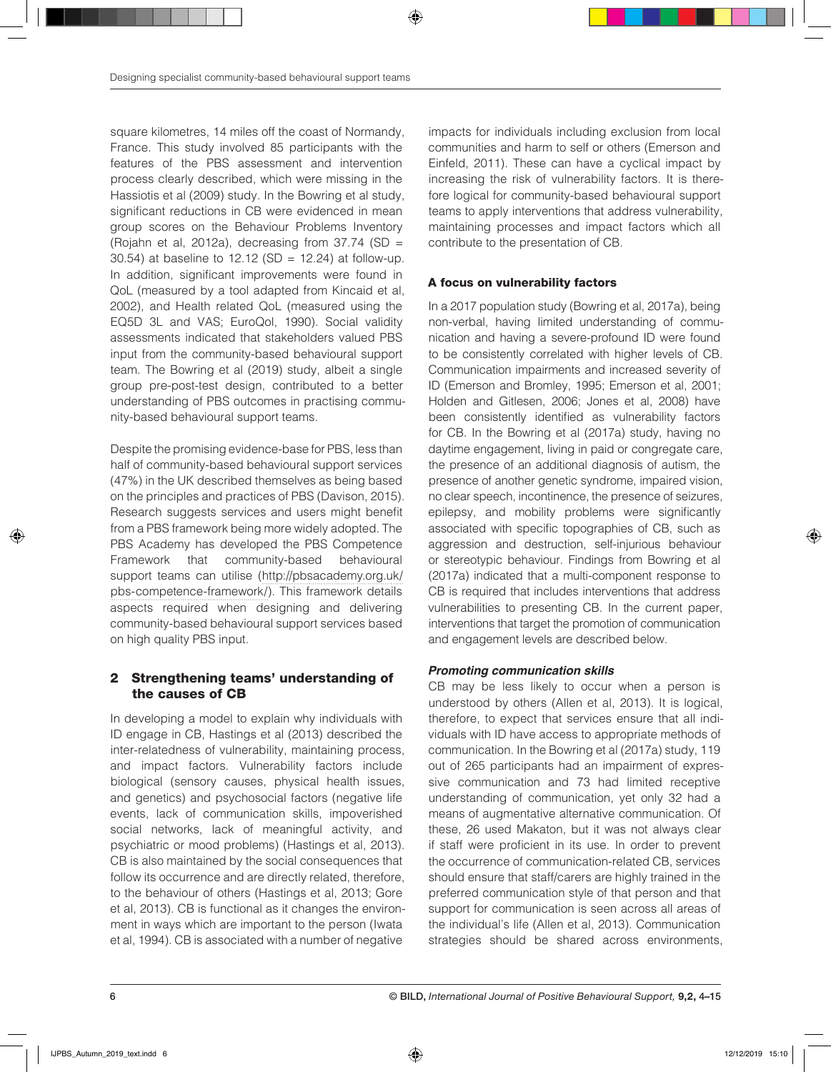square kilometres, 14 miles off the coast of Normandy, France. This study involved 85 participants with the features of the PBS assessment and intervention process clearly described, which were missing in the Hassiotis et al (2009) study. In the Bowring et al study, significant reductions in CB were evidenced in mean group scores on the Behaviour Problems Inventory (Rojahn et al, 2012a), decreasing from  $37.74$  (SD = 30.54) at baseline to 12.12 (SD = 12.24) at follow‐up. In addition, significant improvements were found in QoL (measured by a tool adapted from Kincaid et al, 2002), and Health related QoL (measured using the EQ5D 3L and VAS; EuroQol, 1990). Social validity assessments indicated that stakeholders valued PBS input from the community-based behavioural support team. The Bowring et al (2019) study, albeit a single group pre-post-test design, contributed to a better understanding of PBS outcomes in practising community-based behavioural support teams.

Despite the promising evidence-base for PBS, less than half of community-based behavioural support services (47%) in the UK described themselves as being based on the principles and practices of PBS (Davison, 2015). Research suggests services and users might benefit from a PBS framework being more widely adopted. The PBS Academy has developed the PBS Competence Framework that community-based behavioural support teams can utilise (http://pbsacademy.org.uk/ pbs-competence-framework/). This framework details aspects required when designing and delivering community-based behavioural support services based on high quality PBS input.

# 2 Strengthening teams' understanding of the causes of CB

In developing a model to explain why individuals with ID engage in CB, Hastings et al (2013) described the inter-relatedness of vulnerability, maintaining process, and impact factors. Vulnerability factors include biological (sensory causes, physical health issues, and genetics) and psychosocial factors (negative life events, lack of communication skills, impoverished social networks, lack of meaningful activity, and psychiatric or mood problems) (Hastings et al, 2013). CB is also maintained by the social consequences that follow its occurrence and are directly related, therefore, to the behaviour of others (Hastings et al, 2013; Gore et al, 2013). CB is functional as it changes the environment in ways which are important to the person (Iwata et al, 1994). CB is associated with a number of negative

impacts for individuals including exclusion from local communities and harm to self or others (Emerson and Einfeld, 2011). These can have a cyclical impact by increasing the risk of vulnerability factors. It is therefore logical for community-based behavioural support teams to apply interventions that address vulnerability, maintaining processes and impact factors which all contribute to the presentation of CB.

# A focus on vulnerability factors

In a 2017 population study (Bowring et al, 2017a), being non-verbal, having limited understanding of communication and having a severe-profound ID were found to be consistently correlated with higher levels of CB. Communication impairments and increased severity of ID (Emerson and Bromley, 1995; Emerson et al, 2001; Holden and Gitlesen, 2006; Jones et al, 2008) have been consistently identified as vulnerability factors for CB. In the Bowring et al (2017a) study, having no daytime engagement, living in paid or congregate care, the presence of an additional diagnosis of autism, the presence of another genetic syndrome, impaired vision, no clear speech, incontinence, the presence of seizures, epilepsy, and mobility problems were significantly associated with specific topographies of CB, such as aggression and destruction, self-injurious behaviour or stereotypic behaviour. Findings from Bowring et al (2017a) indicated that a multi-component response to CB is required that includes interventions that address vulnerabilities to presenting CB. In the current paper, interventions that target the promotion of communication and engagement levels are described below.

# *Promoting communication skills*

CB may be less likely to occur when a person is understood by others (Allen et al, 2013). It is logical, therefore, to expect that services ensure that all individuals with ID have access to appropriate methods of communication. In the Bowring et al (2017a) study, 119 out of 265 participants had an impairment of expressive communication and 73 had limited receptive understanding of communication, yet only 32 had a means of augmentative alternative communication. Of these, 26 used Makaton, but it was not always clear if staff were proficient in its use. In order to prevent the occurrence of communication-related CB, services should ensure that staff/carers are highly trained in the preferred communication style of that person and that support for communication is seen across all areas of the individual's life (Allen et al, 2013). Communication strategies should be shared across environments,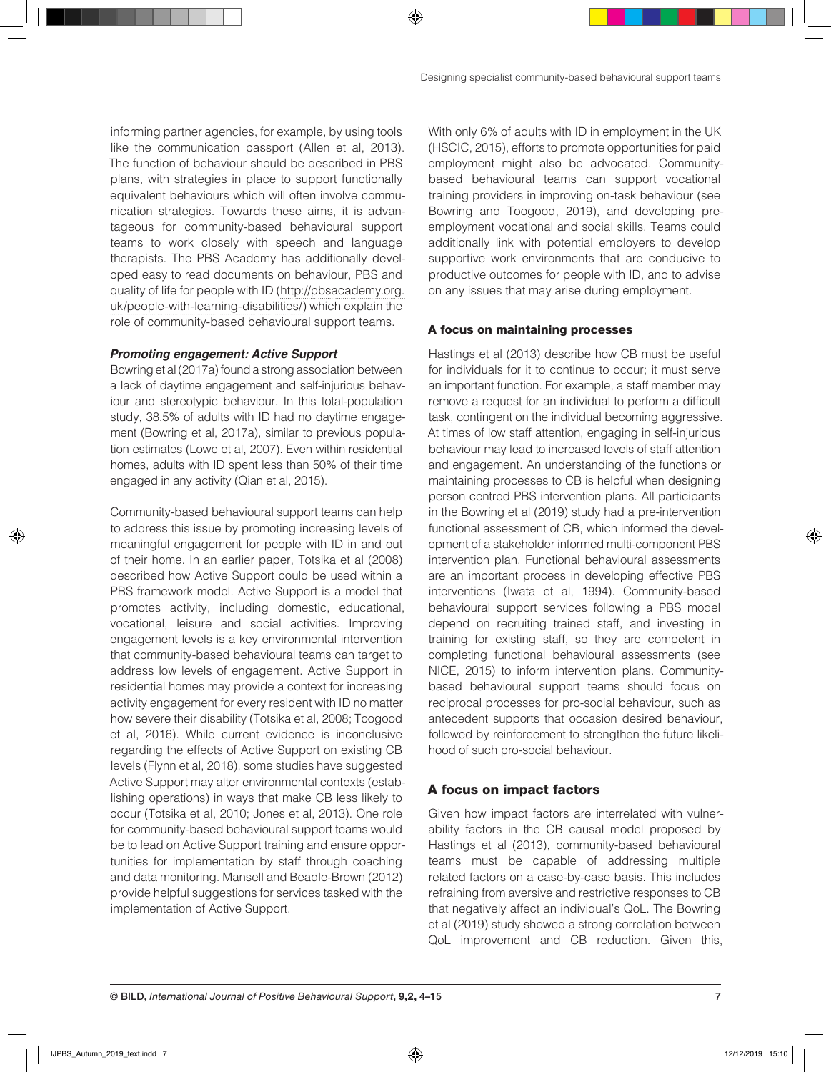informing partner agencies, for example, by using tools like the communication passport (Allen et al, 2013). The function of behaviour should be described in PBS plans, with strategies in place to support functionally equivalent behaviours which will often involve communication strategies. Towards these aims, it is advantageous for community-based behavioural support teams to work closely with speech and language therapists. The PBS Academy has additionally developed easy to read documents on behaviour, PBS and quality of life for people with ID (http://pbsacademy.org. uk/people-with-learning-disabilities/) which explain the role of community-based behavioural support teams.

#### *Promoting engagement: Active Support*

Bowring et al (2017a) found a strong association between a lack of daytime engagement and self-injurious behaviour and stereotypic behaviour. In this total-population study, 38.5% of adults with ID had no daytime engagement (Bowring et al, 2017a), similar to previous population estimates (Lowe et al, 2007). Even within residential homes, adults with ID spent less than 50% of their time engaged in any activity (Qian et al, 2015).

Community-based behavioural support teams can help to address this issue by promoting increasing levels of meaningful engagement for people with ID in and out of their home. In an earlier paper, Totsika et al (2008) described how Active Support could be used within a PBS framework model. Active Support is a model that promotes activity, including domestic, educational, vocational, leisure and social activities. Improving engagement levels is a key environmental intervention that community-based behavioural teams can target to address low levels of engagement. Active Support in residential homes may provide a context for increasing activity engagement for every resident with ID no matter how severe their disability (Totsika et al, 2008; Toogood et al, 2016). While current evidence is inconclusive regarding the effects of Active Support on existing CB levels (Flynn et al, 2018), some studies have suggested Active Support may alter environmental contexts (establishing operations) in ways that make CB less likely to occur (Totsika et al, 2010; Jones et al, 2013). One role for community-based behavioural support teams would be to lead on Active Support training and ensure opportunities for implementation by staff through coaching and data monitoring. Mansell and Beadle-Brown (2012) provide helpful suggestions for services tasked with the implementation of Active Support.

With only 6% of adults with ID in employment in the UK (HSCIC, 2015), efforts to promote opportunities for paid employment might also be advocated. Communitybased behavioural teams can support vocational training providers in improving on-task behaviour (see Bowring and Toogood, 2019), and developing preemployment vocational and social skills. Teams could additionally link with potential employers to develop supportive work environments that are conducive to productive outcomes for people with ID, and to advise on any issues that may arise during employment.

#### A focus on maintaining processes

Hastings et al (2013) describe how CB must be useful for individuals for it to continue to occur; it must serve an important function. For example, a staff member may remove a request for an individual to perform a difficult task, contingent on the individual becoming aggressive. At times of low staff attention, engaging in self-injurious behaviour may lead to increased levels of staff attention and engagement. An understanding of the functions or maintaining processes to CB is helpful when designing person centred PBS intervention plans. All participants in the Bowring et al (2019) study had a pre-intervention functional assessment of CB, which informed the development of a stakeholder informed multi-component PBS intervention plan. Functional behavioural assessments are an important process in developing effective PBS interventions (Iwata et al, 1994). Community-based behavioural support services following a PBS model depend on recruiting trained staff, and investing in training for existing staff, so they are competent in completing functional behavioural assessments (see NICE, 2015) to inform intervention plans. Communitybased behavioural support teams should focus on reciprocal processes for pro-social behaviour, such as antecedent supports that occasion desired behaviour, followed by reinforcement to strengthen the future likelihood of such pro-social behaviour.

#### A focus on impact factors

Given how impact factors are interrelated with vulnerability factors in the CB causal model proposed by Hastings et al (2013), community-based behavioural teams must be capable of addressing multiple related factors on a case-by-case basis. This includes refraining from aversive and restrictive responses to CB that negatively affect an individual's QoL. The Bowring et al (2019) study showed a strong correlation between QoL improvement and CB reduction. Given this,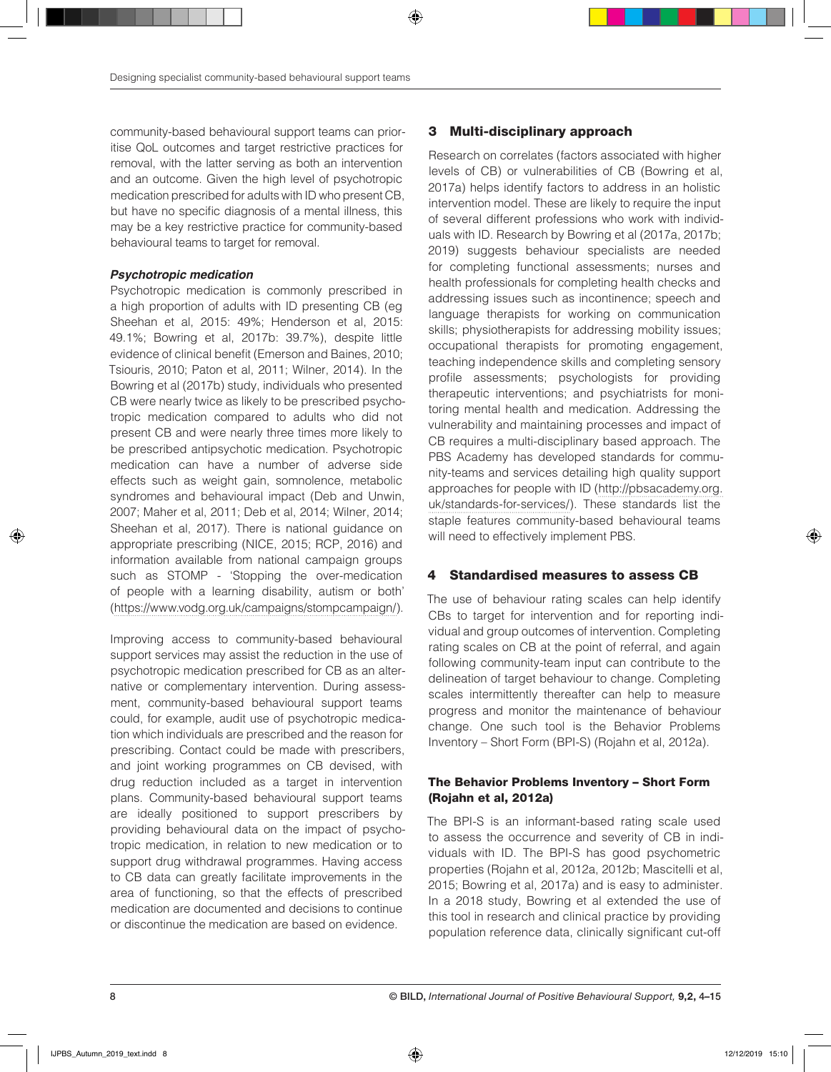community-based behavioural support teams can prioritise QoL outcomes and target restrictive practices for removal, with the latter serving as both an intervention and an outcome. Given the high level of psychotropic medication prescribed for adults with ID who present CB, but have no specific diagnosis of a mental illness, this may be a key restrictive practice for community-based behavioural teams to target for removal.

#### *Psychotropic medication*

Psychotropic medication is commonly prescribed in a high proportion of adults with ID presenting CB (eg Sheehan et al, 2015: 49%; Henderson et al, 2015: 49.1%; Bowring et al, 2017b: 39.7%), despite little evidence of clinical benefit (Emerson and Baines, 2010; Tsiouris, 2010; Paton et al, 2011; Wilner, 2014). In the Bowring et al (2017b) study, individuals who presented CB were nearly twice as likely to be prescribed psychotropic medication compared to adults who did not present CB and were nearly three times more likely to be prescribed antipsychotic medication. Psychotropic medication can have a number of adverse side effects such as weight gain, somnolence, metabolic syndromes and behavioural impact (Deb and Unwin, 2007; Maher et al, 2011; Deb et al, 2014; Wilner, 2014; Sheehan et al, 2017). There is national guidance on appropriate prescribing (NICE, 2015; RCP, 2016) and information available from national campaign groups such as STOMP - 'Stopping the over-medication of people with a learning disability, autism or both' (https://www.vodg.org.uk/campaigns/stompcampaign/).

Improving access to community-based behavioural support services may assist the reduction in the use of psychotropic medication prescribed for CB as an alternative or complementary intervention. During assessment, community-based behavioural support teams could, for example, audit use of psychotropic medication which individuals are prescribed and the reason for prescribing. Contact could be made with prescribers, and joint working programmes on CB devised, with drug reduction included as a target in intervention plans. Community-based behavioural support teams are ideally positioned to support prescribers by providing behavioural data on the impact of psychotropic medication, in relation to new medication or to support drug withdrawal programmes. Having access to CB data can greatly facilitate improvements in the area of functioning, so that the effects of prescribed medication are documented and decisions to continue or discontinue the medication are based on evidence.

# 3 Multi-disciplinary approach

Research on correlates (factors associated with higher levels of CB) or vulnerabilities of CB (Bowring et al, 2017a) helps identify factors to address in an holistic intervention model. These are likely to require the input of several different professions who work with individuals with ID. Research by Bowring et al (2017a, 2017b; 2019) suggests behaviour specialists are needed for completing functional assessments; nurses and health professionals for completing health checks and addressing issues such as incontinence; speech and language therapists for working on communication skills; physiotherapists for addressing mobility issues; occupational therapists for promoting engagement, teaching independence skills and completing sensory profile assessments; psychologists for providing therapeutic interventions; and psychiatrists for monitoring mental health and medication. Addressing the vulnerability and maintaining processes and impact of CB requires a multi-disciplinary based approach. The PBS Academy has developed standards for community-teams and services detailing high quality support approaches for people with ID (http://pbsacademy.org. uk/standards-for-services/). These standards list the staple features community-based behavioural teams will need to effectively implement PBS.

## 4 Standardised measures to assess CB

The use of behaviour rating scales can help identify CBs to target for intervention and for reporting individual and group outcomes of intervention. Completing rating scales on CB at the point of referral, and again following community-team input can contribute to the delineation of target behaviour to change. Completing scales intermittently thereafter can help to measure progress and monitor the maintenance of behaviour change. One such tool is the Behavior Problems Inventory – Short Form (BPI-S) (Rojahn et al, 2012a).

## The Behavior Problems Inventory – Short Form (Rojahn et al, 2012a)

The BPI-S is an informant-based rating scale used to assess the occurrence and severity of CB in individuals with ID. The BPI-S has good psychometric properties (Rojahn et al, 2012a, 2012b; Mascitelli et al, 2015; Bowring et al, 2017a) and is easy to administer. In a 2018 study, Bowring et al extended the use of this tool in research and clinical practice by providing population reference data, clinically significant cut-off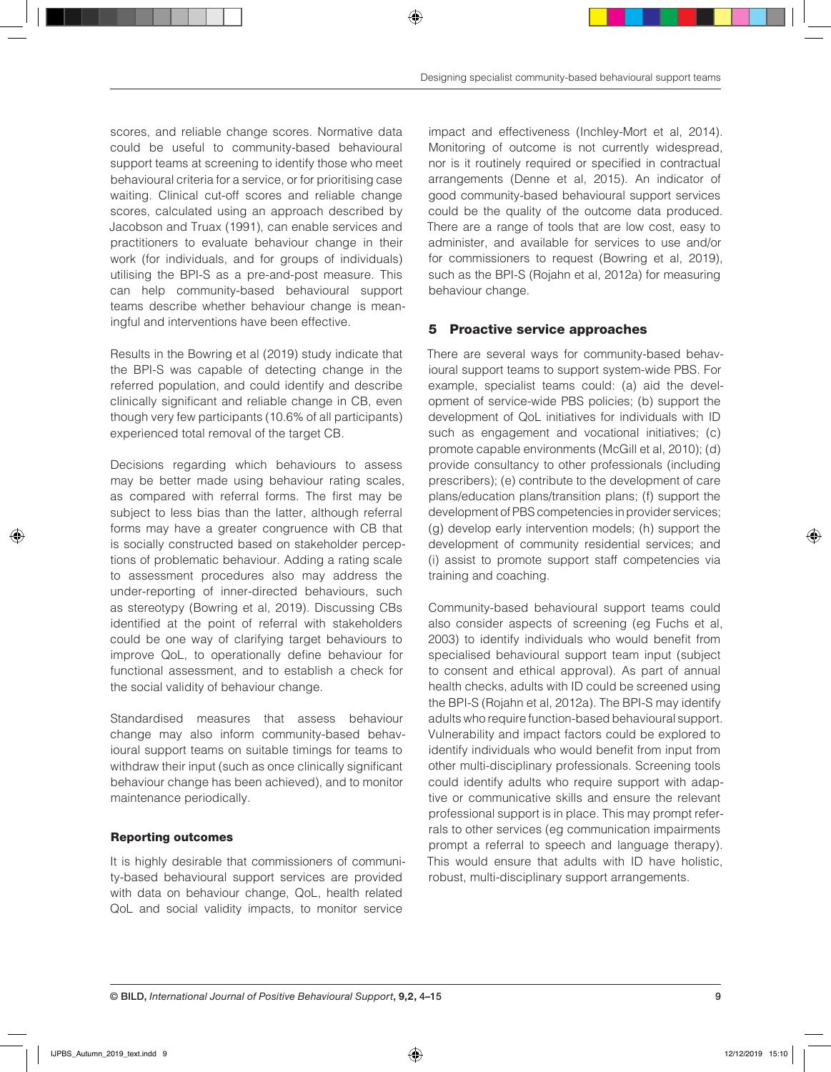scores, and reliable change scores. Normative data could be useful to community-based behavioural support teams at screening to identify those who meet behavioural criteria for a service, or for prioritising case waiting. Clinical cut-off scores and reliable change scores, calculated using an approach described by Jacobson and Truax (1991), can enable services and practitioners to evaluate behaviour change in their work (for individuals, and for groups of individuals) utilising the BPI-S as a pre-and-post measure. This can help community-based behavioural support teams describe whether behaviour change is meaningful and interventions have been effective.

Results in the Bowring et al (2019) study indicate that the BPI-S was capable of detecting change in the referred population, and could identify and describe clinically significant and reliable change in CB, even though very few participants (10.6% of all participants) experienced total removal of the target CB.

Decisions regarding which behaviours to assess may be better made using behaviour rating scales, as compared with referral forms. The first may be subject to less bias than the latter, although referral forms may have a greater congruence with CB that is socially constructed based on stakeholder perceptions of problematic behaviour. Adding a rating scale to assessment procedures also may address the under-reporting of inner-directed behaviours, such as stereotypy (Bowring et al, 2019). Discussing CBs identified at the point of referral with stakeholders could be one way of clarifying target behaviours to improve QoL, to operationally define behaviour for functional assessment, and to establish a check for the social validity of behaviour change.

Standardised measures that assess behaviour change may also inform community-based behavioural support teams on suitable timings for teams to withdraw their input (such as once clinically significant behaviour change has been achieved), and to monitor maintenance periodically.

#### Reporting outcomes

It is highly desirable that commissioners of community-based behavioural support services are provided with data on behaviour change, QoL, health related QoL and social validity impacts, to monitor service

impact and effectiveness (Inchley-Mort et al, 2014). Monitoring of outcome is not currently widespread, nor is it routinely required or specified in contractual arrangements (Denne et al, 2015). An indicator of good community-based behavioural support services could be the quality of the outcome data produced. There are a range of tools that are low cost, easy to administer, and available for services to use and/or for commissioners to request (Bowring et al, 2019), such as the BPI-S (Rojahn et al, 2012a) for measuring behaviour change.

## 5 Proactive service approaches

There are several ways for community-based behavioural support teams to support system-wide PBS. For example, specialist teams could: (a) aid the development of service-wide PBS policies; (b) support the development of QoL initiatives for individuals with ID such as engagement and vocational initiatives; (c) promote capable environments (McGill et al, 2010); (d) provide consultancy to other professionals (including prescribers); (e) contribute to the development of care plans/education plans/transition plans; (f) support the development of PBS competencies in provider services; (g) develop early intervention models; (h) support the development of community residential services; and (i) assist to promote support staff competencies via training and coaching.

Community-based behavioural support teams could also consider aspects of screening (eg Fuchs et al, 2003) to identify individuals who would benefit from specialised behavioural support team input (subject to consent and ethical approval). As part of annual health checks, adults with ID could be screened using the BPI-S (Rojahn et al, 2012a). The BPI-S may identify adults who require function-based behavioural support. Vulnerability and impact factors could be explored to identify individuals who would benefit from input from other multi-disciplinary professionals. Screening tools could identify adults who require support with adaptive or communicative skills and ensure the relevant professional support is in place. This may prompt referrals to other services (eg communication impairments prompt a referral to speech and language therapy). This would ensure that adults with ID have holistic, robust, multi-disciplinary support arrangements.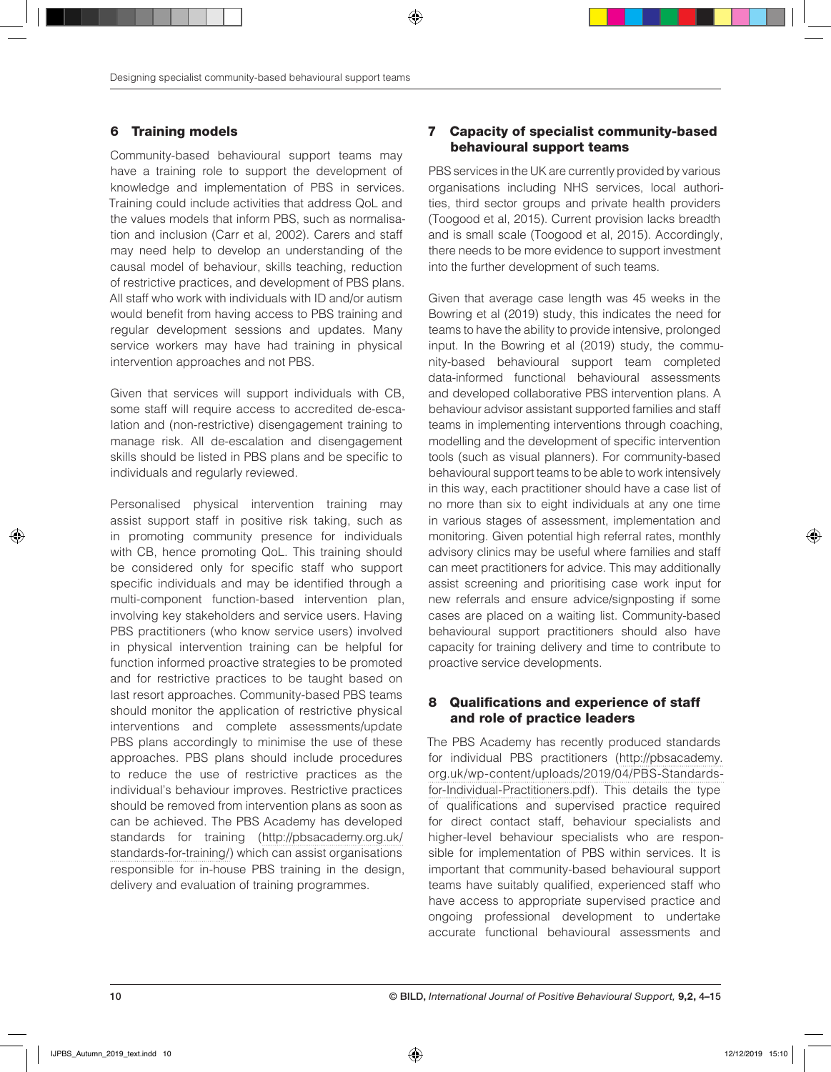# 6 Training models

Community-based behavioural support teams may have a training role to support the development of knowledge and implementation of PBS in services. Training could include activities that address QoL and the values models that inform PBS, such as normalisation and inclusion (Carr et al, 2002). Carers and staff may need help to develop an understanding of the causal model of behaviour, skills teaching, reduction of restrictive practices, and development of PBS plans. All staff who work with individuals with ID and/or autism would benefit from having access to PBS training and regular development sessions and updates. Many service workers may have had training in physical intervention approaches and not PBS.

Given that services will support individuals with CB, some staff will require access to accredited de-escalation and (non-restrictive) disengagement training to manage risk. All de-escalation and disengagement skills should be listed in PBS plans and be specific to individuals and regularly reviewed.

Personalised physical intervention training may assist support staff in positive risk taking, such as in promoting community presence for individuals with CB, hence promoting QoL. This training should be considered only for specific staff who support specific individuals and may be identified through a multi-component function-based intervention plan, involving key stakeholders and service users. Having PBS practitioners (who know service users) involved in physical intervention training can be helpful for function informed proactive strategies to be promoted and for restrictive practices to be taught based on last resort approaches. Community-based PBS teams should monitor the application of restrictive physical interventions and complete assessments/update PBS plans accordingly to minimise the use of these approaches. PBS plans should include procedures to reduce the use of restrictive practices as the individual's behaviour improves. Restrictive practices should be removed from intervention plans as soon as can be achieved. The PBS Academy has developed standards for training (http://pbsacademy.org.uk/ standards-for-training/) which can assist organisations responsible for in-house PBS training in the design, delivery and evaluation of training programmes.

## 7 Capacity of specialist community-based behavioural support teams

PBS services in the UK are currently provided by various organisations including NHS services, local authorities, third sector groups and private health providers (Toogood et al, 2015). Current provision lacks breadth and is small scale (Toogood et al, 2015). Accordingly, there needs to be more evidence to support investment into the further development of such teams.

Given that average case length was 45 weeks in the Bowring et al (2019) study, this indicates the need for teams to have the ability to provide intensive, prolonged input. In the Bowring et al (2019) study, the community-based behavioural support team completed data-informed functional behavioural assessments and developed collaborative PBS intervention plans. A behaviour advisor assistant supported families and staff teams in implementing interventions through coaching, modelling and the development of specific intervention tools (such as visual planners). For community-based behavioural support teams to be able to work intensively in this way, each practitioner should have a case list of no more than six to eight individuals at any one time in various stages of assessment, implementation and monitoring. Given potential high referral rates, monthly advisory clinics may be useful where families and staff can meet practitioners for advice. This may additionally assist screening and prioritising case work input for new referrals and ensure advice/signposting if some cases are placed on a waiting list. Community-based behavioural support practitioners should also have capacity for training delivery and time to contribute to proactive service developments.

# 8 Qualifications and experience of staff and role of practice leaders

The PBS Academy has recently produced standards for individual PBS practitioners (http://pbsacademy. org.uk/wp-content/uploads/2019/04/PBS-Standardsfor-Individual-Practitioners.pdf). This details the type of qualifications and supervised practice required for direct contact staff, behaviour specialists and higher-level behaviour specialists who are responsible for implementation of PBS within services. It is important that community-based behavioural support teams have suitably qualified, experienced staff who have access to appropriate supervised practice and ongoing professional development to undertake accurate functional behavioural assessments and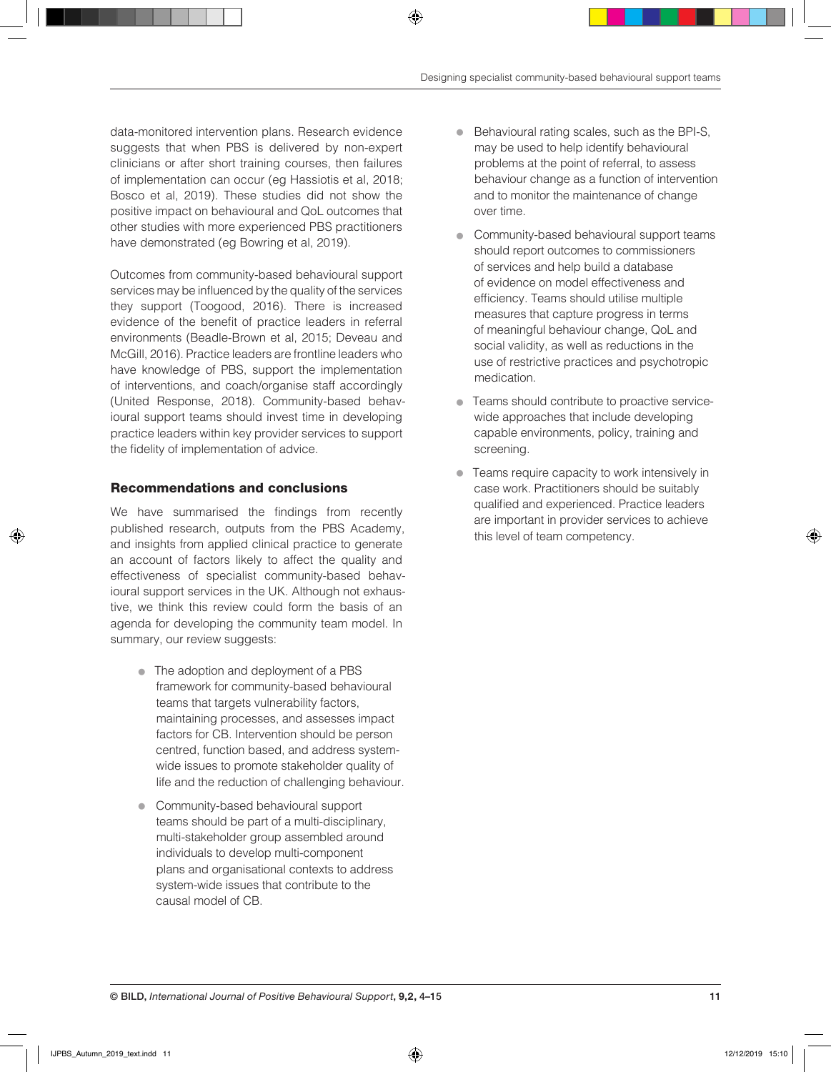data-monitored intervention plans. Research evidence suggests that when PBS is delivered by non-expert clinicians or after short training courses, then failures of implementation can occur (eg Hassiotis et al, 2018; Bosco et al, 2019). These studies did not show the positive impact on behavioural and QoL outcomes that other studies with more experienced PBS practitioners have demonstrated (eg Bowring et al, 2019).

Outcomes from community-based behavioural support services may be influenced by the quality of the services they support (Toogood, 2016). There is increased evidence of the benefit of practice leaders in referral environments (Beadle-Brown et al, 2015; Deveau and McGill, 2016). Practice leaders are frontline leaders who have knowledge of PBS, support the implementation of interventions, and coach/organise staff accordingly (United Response, 2018). Community-based behavioural support teams should invest time in developing practice leaders within key provider services to support the fidelity of implementation of advice.

## Recommendations and conclusions

We have summarised the findings from recently published research, outputs from the PBS Academy, and insights from applied clinical practice to generate an account of factors likely to affect the quality and effectiveness of specialist community-based behavioural support services in the UK. Although not exhaustive, we think this review could form the basis of an agenda for developing the community team model. In summary, our review suggests:

- The adoption and deployment of a PBS framework for community-based behavioural teams that targets vulnerability factors, maintaining processes, and assesses impact factors for CB. Intervention should be person centred, function based, and address systemwide issues to promote stakeholder quality of life and the reduction of challenging behaviour.
- Community-based behavioural support teams should be part of a multi-disciplinary, multi-stakeholder group assembled around individuals to develop multi-component plans and organisational contexts to address system-wide issues that contribute to the causal model of CB.
- Behavioural rating scales, such as the BPI-S, may be used to help identify behavioural problems at the point of referral, to assess behaviour change as a function of intervention and to monitor the maintenance of change over time.
- Community-based behavioural support teams should report outcomes to commissioners of services and help build a database of evidence on model effectiveness and efficiency. Teams should utilise multiple measures that capture progress in terms of meaningful behaviour change, QoL and social validity, as well as reductions in the use of restrictive practices and psychotropic medication.
- **Teams should contribute to proactive service**wide approaches that include developing capable environments, policy, training and screening.
- Teams require capacity to work intensively in case work. Practitioners should be suitably qualified and experienced. Practice leaders are important in provider services to achieve this level of team competency.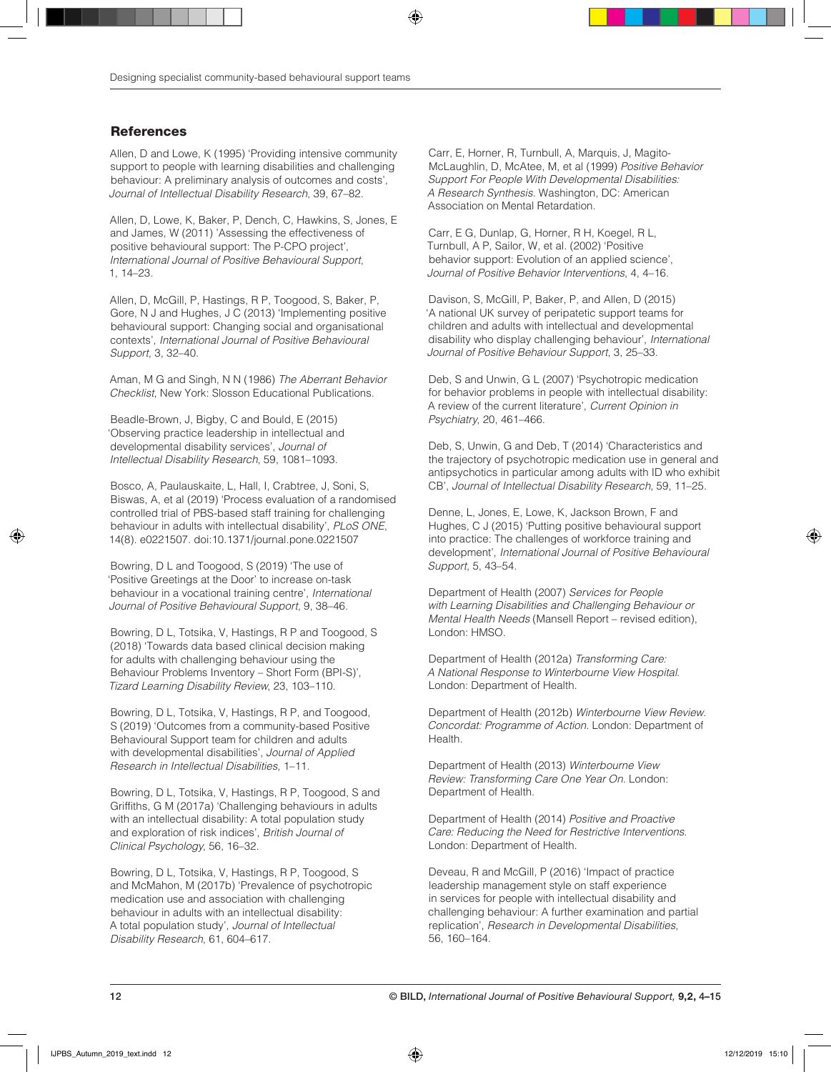# **References**

Allen, D and Lowe, K (1995) 'Providing intensive community support to people with learning disabilities and challenging behaviour: A preliminary analysis of outcomes and costs', *Journal of Intellectual Disability Research*, 39, 67–82.

Allen, D, Lowe, K, Baker, P, Dench, C, Hawkins, S, Jones, E and James, W (2011) 'Assessing the effectiveness of positive behavioural support: The P-CPO project', *International Journal of Positive Behavioural Support*, 1, 14–23.

Allen, D, McGill, P, Hastings, R P, Toogood, S, Baker, P, Gore, N J and Hughes, J C (2013) 'Implementing positive behavioural support: Changing social and organisational contexts', *International Journal of Positive Behavioural Support*, 3, 32–40.

Aman, M G and Singh, N N (1986) *The Aberrant Behavior Checklist*, New York: Slosson Educational Publications.

Beadle-Brown, J, Bigby, C and Bould, E (2015) 'Observing practice leadership in intellectual and developmental disability services', *Journal of Intellectual Disability Research*, 59, 1081–1093.

Bosco, A, Paulauskaite, L, Hall, I, Crabtree, J, Soni, S, Biswas, A, et al (2019) 'Process evaluation of a randomised controlled trial of PBS-based staff training for challenging behaviour in adults with intellectual disability', *PLoS ONE*, 14(8). e0221507. doi:10.1371/journal.pone.0221507

Bowring, D L and Toogood, S (2019) 'The use of 'Positive Greetings at the Door' to increase on-task behaviour in a vocational training centre', *International Journal of Positive Behavioural Support*, 9, 38–46.

Bowring, D L, Totsika, V, Hastings, R P and Toogood, S (2018) 'Towards data based clinical decision making for adults with challenging behaviour using the Behaviour Problems Inventory – Short Form (BPI‐S)', *Tizard Learning Disability Review*, 23, 103–110.

Bowring, D L, Totsika, V, Hastings, R P, and Toogood, S (2019) 'Outcomes from a community‐based Positive Behavioural Support team for children and adults with developmental disabilities', *Journal of Applied Research in Intellectual Disabilities*, 1–11.

Bowring, D L, Totsika, V, Hastings, R P, Toogood, S and Griffiths, G M (2017a) 'Challenging behaviours in adults with an intellectual disability: A total population study and exploration of risk indices', *British Journal of Clinical Psychology*, 56, 16–32.

Bowring, D L, Totsika, V, Hastings, R P, Toogood, S and McMahon, M (2017b) 'Prevalence of psychotropic medication use and association with challenging behaviour in adults with an intellectual disability: A total population study', *Journal of Intellectual Disability Research*, 61, 604–617.

Carr, E, Horner, R, Turnbull, A, Marquis, J, Magito-McLaughlin, D, McAtee, M, et al (1999) *Positive Behavior Support For People With Developmental Disabilities: A Research Synthesis.* Washington, DC: American Association on Mental Retardation.

Carr, E G, Dunlap, G, Horner, R H, Koegel, R L, Turnbull, A P, Sailor, W, et al. (2002) 'Positive behavior support: Evolution of an applied science', *Journal of Positive Behavior Interventions*, 4, 4–16.

Davison, S, McGill, P, Baker, P, and Allen, D (2015) 'A national UK survey of peripatetic support teams for children and adults with intellectual and developmental disability who display challenging behaviour', *International Journal of Positive Behaviour Support*, 3, 25–33.

Deb, S and Unwin, G L (2007) 'Psychotropic medication for behavior problems in people with intellectual disability: A review of the current literature', *Current Opinion in Psychiatry*, 20, 461–466.

Deb, S, Unwin, G and Deb, T (2014) 'Characteristics and the trajectory of psychotropic medication use in general and antipsychotics in particular among adults with ID who exhibit CB', *Journal of Intellectual Disability Research*, 59, 11–25.

Denne, L, Jones, E, Lowe, K, Jackson Brown, F and Hughes, C J (2015) 'Putting positive behavioural support into practice: The challenges of workforce training and development', *International Journal of Positive Behavioural Support*, 5, 43–54.

Department of Health (2007) *Services for People with Learning Disabilities and Challenging Behaviour or Mental Health Needs* (Mansell Report – revised edition), London: HMSO.

Department of Health (2012a) *Transforming Care: A National Response to Winterbourne View Hospital*. London: Department of Health.

Department of Health (2012b) *Winterbourne View Review. Concordat: Programme of Action*. London: Department of Health.

Department of Health (2013) *Winterbourne View Review: Transforming Care One Year On*. London: Department of Health.

Department of Health (2014) *Positive and Proactive Care: Reducing the Need for Restrictive Interventions*. London: Department of Health.

Deveau, R and McGill, P (2016) 'Impact of practice leadership management style on staff experience in services for people with intellectual disability and challenging behaviour: A further examination and partial replication', *Research in Developmental Disabilities*, 56, 160–164.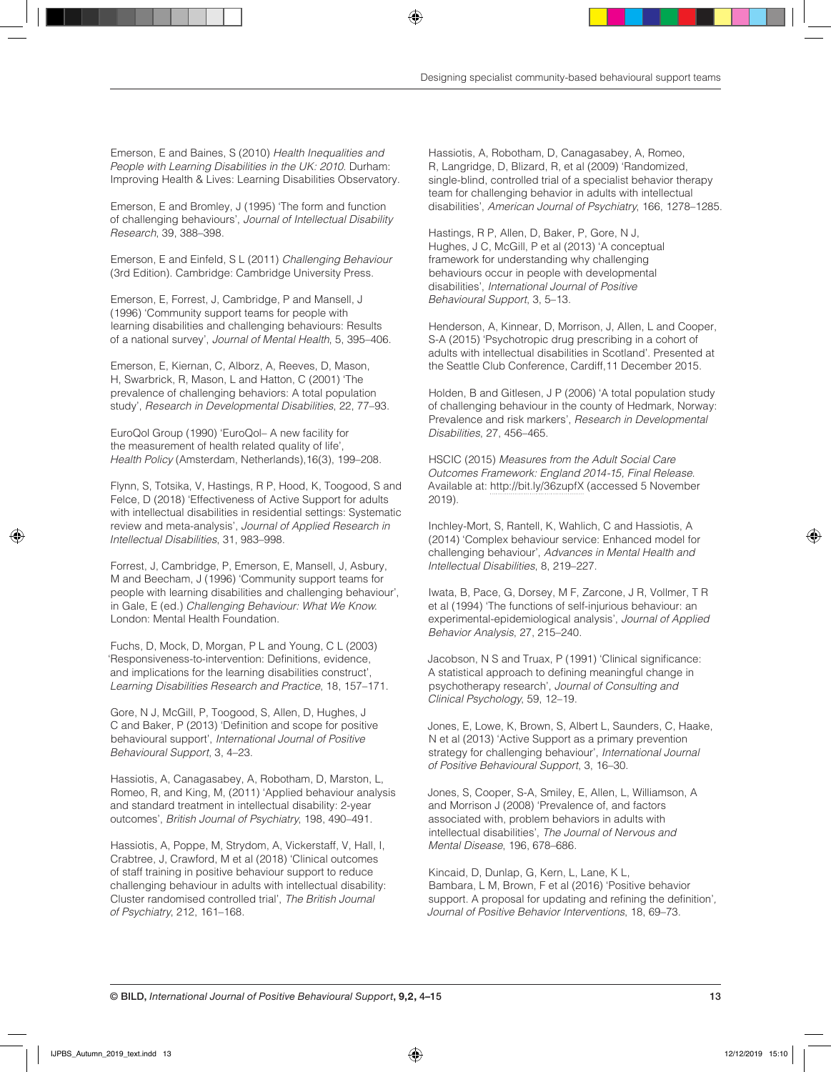Emerson, E and Baines, S (2010) *Health Inequalities and People with Learning Disabilities in the UK: 2010*. Durham: Improving Health & Lives: Learning Disabilities Observatory.

Emerson, E and Bromley, J (1995) 'The form and function of challenging behaviours', *Journal of Intellectual Disability Research*, 39, 388–398.

Emerson, E and Einfeld, S L (2011) *Challenging Behaviour* (3rd Edition). Cambridge: Cambridge University Press.

Emerson, E, Forrest, J, Cambridge, P and Mansell, J (1996) 'Community support teams for people with learning disabilities and challenging behaviours: Results of a national survey', *Journal of Mental Health*, 5, 395–406.

Emerson, E, Kiernan, C, Alborz, A, Reeves, D, Mason, H, Swarbrick, R, Mason, L and Hatton, C (2001) 'The prevalence of challenging behaviors: A total population study', *Research in Developmental Disabilities*, 22, 77–93.

EuroQol Group (1990) 'EuroQol– A new facility for the measurement of health related quality of life', *Health Policy* (Amsterdam, Netherlands),16(3), 199–208.

Flynn, S, Totsika, V, Hastings, R P, Hood, K, Toogood, S and Felce, D (2018) 'Effectiveness of Active Support for adults with intellectual disabilities in residential settings: Systematic review and meta-analysis', *Journal of Applied Research in Intellectual Disabilities*, 31, 983–998.

Forrest, J, Cambridge, P, Emerson, E, Mansell, J, Asbury, M and Beecham, J (1996) 'Community support teams for people with learning disabilities and challenging behaviour', in Gale, E (ed.) *Challenging Behaviour: What We Know*. London: Mental Health Foundation.

Fuchs, D, Mock, D, Morgan, P L and Young, C L (2003) 'Responsiveness-to-intervention: Definitions, evidence, and implications for the learning disabilities construct', *Learning Disabilities Research and Practice*, 18, 157–171.

Gore, N J, McGill, P, Toogood, S, Allen, D, Hughes, J C and Baker, P (2013) 'Definition and scope for positive behavioural support', *International Journal of Positive Behavioural Support*, 3, 4–23.

Hassiotis, A, Canagasabey, A, Robotham, D, Marston, L, Romeo, R, and King, M, (2011) 'Applied behaviour analysis and standard treatment in intellectual disability: 2‐year outcomes', *British Journal of Psychiatry*, 198, 490–491.

Hassiotis, A, Poppe, M, Strydom, A, Vickerstaff, V, Hall, I, Crabtree, J, Crawford, M et al (2018) 'Clinical outcomes of staff training in positive behaviour support to reduce challenging behaviour in adults with intellectual disability: Cluster randomised controlled trial', *The British Journal of Psychiatry*, 212, 161–168.

Hassiotis, A, Robotham, D, Canagasabey, A, Romeo, R, Langridge, D, Blizard, R, et al (2009) 'Randomized, single-blind, controlled trial of a specialist behavior therapy team for challenging behavior in adults with intellectual disabilities', *American Journal of Psychiatry*, 166, 1278–1285.

Hastings, R P, Allen, D, Baker, P, Gore, N J, Hughes, J C, McGill, P et al (2013) 'A conceptual framework for understanding why challenging behaviours occur in people with developmental disabilities', *International Journal of Positive Behavioural Support*, 3, 5–13.

Henderson, A, Kinnear, D, Morrison, J, Allen, L and Cooper, S-A (2015) 'Psychotropic drug prescribing in a cohort of adults with intellectual disabilities in Scotland'. Presented at the Seattle Club Conference, Cardiff,11 December 2015.

Holden, B and Gitlesen, J P (2006) 'A total population study of challenging behaviour in the county of Hedmark, Norway: Prevalence and risk markers', *Research in Developmental Disabilities*, 27, 456–465.

HSCIC (2015) *Measures from the Adult Social Care Outcomes Framework: England 2014-15, Final Release*. Available at: http://bit.ly/36zupfX (accessed 5 November 2019).

Inchley-Mort, S, Rantell, K, Wahlich, C and Hassiotis, A (2014) 'Complex behaviour service: Enhanced model for challenging behaviour', *Advances in Mental Health and Intellectual Disabilities*, 8, 219–227.

Iwata, B, Pace, G, Dorsey, M F, Zarcone, J R, Vollmer, T R et al (1994) 'The functions of self-injurious behaviour: an experimental-epidemiological analysis', *Journal of Applied Behavior Analysis*, 27, 215–240.

Jacobson, N S and Truax, P (1991) 'Clinical significance: A statistical approach to defining meaningful change in psychotherapy research', *Journal of Consulting and Clinical Psychology*, 59, 12–19.

Jones, E, Lowe, K, Brown, S, Albert L, Saunders, C, Haake, N et al (2013) 'Active Support as a primary prevention strategy for challenging behaviour', *International Journal of Positive Behavioural Support*, 3, 16–30.

Jones, S, Cooper, S-A, Smiley, E, Allen, L, Williamson, A and Morrison J (2008) 'Prevalence of, and factors associated with, problem behaviors in adults with intellectual disabilities', *The Journal of Nervous and Mental Disease*, 196, 678–686.

Kincaid, D, Dunlap, G, Kern, L, Lane, K L, Bambara, L M, Brown, F et al (2016) 'Positive behavior support. A proposal for updating and refining the definition'*, Journal of Positive Behavior Interventions*, 18, 69–73.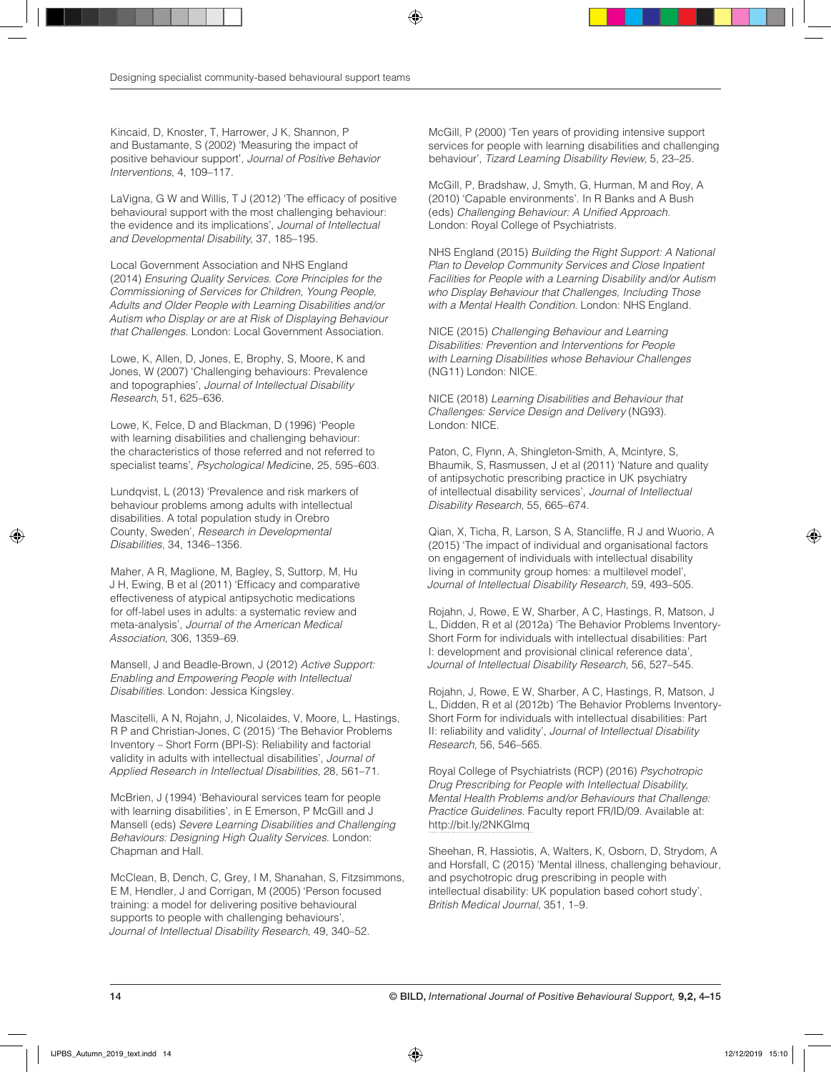Kincaid, D, Knoster, T, Harrower, J K, Shannon, P and Bustamante, S (2002) 'Measuring the impact of positive behaviour support', *Journal of Positive Behavior Interventions*, 4, 109–117.

LaVigna, G W and Willis, T J (2012) 'The efficacy of positive behavioural support with the most challenging behaviour: the evidence and its implications', *Journal of Intellectual and Developmental Disability*, 37, 185–195.

Local Government Association and NHS England (2014) *Ensuring Quality Services. Core Principles for the Commissioning of Services for Children, Young People, Adults and Older People with Learning Disabilities and/or Autism who Display or are at Risk of Displaying Behaviour that Challenges.* London: Local Government Association.

Lowe, K, Allen, D, Jones, E, Brophy, S, Moore, K and Jones, W (2007) 'Challenging behaviours: Prevalence and topographies', *Journal of Intellectual Disability Research*, 51, 625–636.

Lowe, K, Felce, D and Blackman, D (1996) 'People with learning disabilities and challenging behaviour: the characteristics of those referred and not referred to specialist teams', *Psychological Medic*ine, 25, 595–603.

Lundqvist, L (2013) 'Prevalence and risk markers of behaviour problems among adults with intellectual disabilities. A total population study in Orebro County, Sweden', *Research in Developmental Disabilities*, 34, 1346–1356.

Maher, A R, Maglione, M, Bagley, S, Suttorp, M, Hu J H, Ewing, B et al (2011) 'Efficacy and comparative effectiveness of atypical antipsychotic medications for off-label uses in adults: a systematic review and meta-analysis', *Journal of the American Medical Association*, 306, 1359–69.

Mansell, J and Beadle-Brown, J (2012) *Active Support: Enabling and Empowering People with Intellectual Disabilities.* London: Jessica Kingsley.

Mascitelli, A N, Rojahn, J, Nicolaides, V, Moore, L, Hastings, R P and Christian-Jones, C (2015) 'The Behavior Problems Inventory – Short Form (BPI-S): Reliability and factorial validity in adults with intellectual disabilities', *Journal of Applied Research in Intellectual Disabilities*, 28, 561–71.

McBrien, J (1994) 'Behavioural services team for people with learning disabilities', in E Emerson, P McGill and J Mansell (eds) *Severe Learning Disabilities and Challenging Behaviours: Designing High Quality Services*. London: Chapman and Hall.

McClean, B, Dench, C, Grey, I M, Shanahan, S, Fitzsimmons, E M, Hendler, J and Corrigan, M (2005) 'Person focused training: a model for delivering positive behavioural supports to people with challenging behaviours', *Journal of Intellectual Disability Research*, 49, 340–52.

McGill, P (2000) 'Ten years of providing intensive support services for people with learning disabilities and challenging behaviour', *Tizard Learning Disability Review*, 5, 23–25.

McGill, P, Bradshaw, J, Smyth, G, Hurman, M and Roy, A (2010) 'Capable environments'. In R Banks and A Bush (eds) *Challenging Behaviour: A Unified Approach*. London: Royal College of Psychiatrists.

NHS England (2015) *Building the Right Support: A National*  **Plan to Develop Community Services and Close Inpatient** *Facilities for People with a Learning Disability and/or Autism who Display Behaviour that Challenges, Including Those with a Mental Health Condition*. London: NHS England.

NICE (2015) *Challenging Behaviour and Learning Disabilities: Prevention and Interventions for People with Learning Disabilities whose Behaviour Challenges*  (NG11) London: NICE.

NICE (2018) *Learning Disabilities and Behaviour that Challenges: Service Design and Delivery* (NG93). London: NICE.

Paton, C, Flynn, A, Shingleton-Smith, A, Mcintyre, S, Bhaumik, S, Rasmussen, J et al (2011) 'Nature and quality of antipsychotic prescribing practice in UK psychiatry of intellectual disability services', *Journal of Intellectual Disability Research*, 55, 665–674.

Qian, X, Ticha, R, Larson, S A, Stancliffe, R J and Wuorio, A (2015) 'The impact of individual and organisational factors on engagement of individuals with intellectual disability living in community group homes: a multilevel model', *Journal of Intellectual Disability Research*, 59, 493–505.

Rojahn, J, Rowe, E W, Sharber, A C, Hastings, R, Matson, J L, Didden, R et al (2012a) 'The Behavior Problems Inventory-Short Form for individuals with intellectual disabilities: Part I: development and provisional clinical reference data', *Journal of Intellectual Disability Research*, 56, 527–545.

Rojahn, J, Rowe, E W, Sharber, A C, Hastings, R, Matson, J L, Didden, R et al (2012b) 'The Behavior Problems Inventory-Short Form for individuals with intellectual disabilities: Part II: reliability and validity', *Journal of Intellectual Disability Research*, 56, 546–565.

Royal College of Psychiatrists (RCP) (2016) *Psychotropic Drug Prescribing for People with Intellectual Disability, Mental Health Problems and/or Behaviours that Challenge: Practice Guidelines*. Faculty report FR/ID/09. Available at: http://bit.ly/2NKGlmq

Sheehan, R, Hassiotis, A, Walters, K, Osborn, D, Strydom, A and Horsfall, C (2015) 'Mental illness, challenging behaviour, and psychotropic drug prescribing in people with intellectual disability: UK population based cohort study', *British Medical Journal*, 351, 1–9.